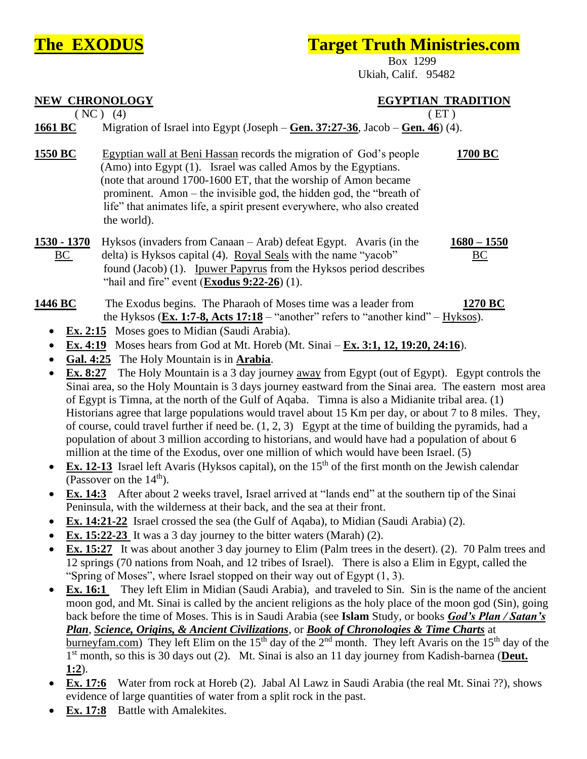## **The EXODUS Target Truth Ministries.com**

 Box 1299 Ukiah, Calif. 95482

| <b>NEW CHRONOLOGY</b>                                                                                  | $(NC)$ (4)                                                                                                                                                                                                                                                                                                                                                                                                                                                                                                                                                                                                                                                                                                                                                                                                                                                                                                                                                                                                                                                                                                                                                                                                                                                                                                                                                                                                                                                                                                                                                                                                                                                                                                                                                                                                                                                                                                                                                                                                                                                                                                                                                                                                                                                                                                                                                                                                                                                                                                                                                                                                                                       | <b>EGYPTIAN TRADITION</b><br>E(T) |                     |
|--------------------------------------------------------------------------------------------------------|--------------------------------------------------------------------------------------------------------------------------------------------------------------------------------------------------------------------------------------------------------------------------------------------------------------------------------------------------------------------------------------------------------------------------------------------------------------------------------------------------------------------------------------------------------------------------------------------------------------------------------------------------------------------------------------------------------------------------------------------------------------------------------------------------------------------------------------------------------------------------------------------------------------------------------------------------------------------------------------------------------------------------------------------------------------------------------------------------------------------------------------------------------------------------------------------------------------------------------------------------------------------------------------------------------------------------------------------------------------------------------------------------------------------------------------------------------------------------------------------------------------------------------------------------------------------------------------------------------------------------------------------------------------------------------------------------------------------------------------------------------------------------------------------------------------------------------------------------------------------------------------------------------------------------------------------------------------------------------------------------------------------------------------------------------------------------------------------------------------------------------------------------------------------------------------------------------------------------------------------------------------------------------------------------------------------------------------------------------------------------------------------------------------------------------------------------------------------------------------------------------------------------------------------------------------------------------------------------------------------------------------------------|-----------------------------------|---------------------|
| 1661 BC                                                                                                | Migration of Israel into Egypt (Joseph $-\frac{\text{Gen. 37:27-36}}{2000}$ , Jacob $-\frac{\text{Gen. 46}}{201}$ (4).                                                                                                                                                                                                                                                                                                                                                                                                                                                                                                                                                                                                                                                                                                                                                                                                                                                                                                                                                                                                                                                                                                                                                                                                                                                                                                                                                                                                                                                                                                                                                                                                                                                                                                                                                                                                                                                                                                                                                                                                                                                                                                                                                                                                                                                                                                                                                                                                                                                                                                                           |                                   |                     |
| 1550 BC                                                                                                | Egyptian wall at Beni Hassan records the migration of God's people<br>(Amo) into Egypt (1). Israel was called Amos by the Egyptians.<br>(note that around 1700-1600 ET, that the worship of Amon became<br>prominent. Amon – the invisible god, the hidden god, the "breath of<br>life" that animates life, a spirit present everywhere, who also created<br>the world).                                                                                                                                                                                                                                                                                                                                                                                                                                                                                                                                                                                                                                                                                                                                                                                                                                                                                                                                                                                                                                                                                                                                                                                                                                                                                                                                                                                                                                                                                                                                                                                                                                                                                                                                                                                                                                                                                                                                                                                                                                                                                                                                                                                                                                                                         |                                   | 1700 BC             |
| 1530 - 1370<br>BC                                                                                      | Hyksos (invaders from Canaan – Arab) defeat Egypt. Avaris (in the<br>delta) is Hyksos capital (4). Royal Seals with the name "yacob"<br>found (Jacob) (1). Ipuwer Papyrus from the Hyksos period describes<br>"hail and fire" event $(Exodus 9:22-26)$ (1).                                                                                                                                                                                                                                                                                                                                                                                                                                                                                                                                                                                                                                                                                                                                                                                                                                                                                                                                                                                                                                                                                                                                                                                                                                                                                                                                                                                                                                                                                                                                                                                                                                                                                                                                                                                                                                                                                                                                                                                                                                                                                                                                                                                                                                                                                                                                                                                      |                                   | $1680 - 1550$<br>BC |
| 1446 BC<br>٠<br>٠<br>Ex. 8:27<br>$\bullet$<br>$\bullet$<br>$\bullet$<br>٠<br>Ex. 16:1<br><u>1:2</u> ). | The Exodus begins. The Pharaoh of Moses time was a leader from<br>the Hyksos (Ex. 1:7-8, Acts 17:18 – "another" refers to "another kind" – $Hyksos$ ).<br>Ex. 2:15 Moses goes to Midian (Saudi Arabia).<br><b>Ex. 4:19</b> Moses hears from God at Mt. Horeb (Mt. Sinai $-$ <b>Ex. 3:1, 12, 19:20, 24:16</b> ).<br>Gal. 4:25 The Holy Mountain is in <b>Arabia</b> .<br>The Holy Mountain is a 3 day journey away from Egypt (out of Egypt). Egypt controls the<br>Sinai area, so the Holy Mountain is 3 days journey eastward from the Sinai area. The eastern most area<br>of Egypt is Timna, at the north of the Gulf of Aqaba. Timna is also a Midianite tribal area. (1)<br>Historians agree that large populations would travel about 15 Km per day, or about 7 to 8 miles. They,<br>of course, could travel further if need be. $(1, 2, 3)$ Egypt at the time of building the pyramids, had a<br>population of about 3 million according to historians, and would have had a population of about 6<br>million at the time of the Exodus, over one million of which would have been Israel. (5)<br><b>Ex. 12-13</b> Israel left Avaris (Hyksos capital), on the 15 <sup>th</sup> of the first month on the Jewish calendar<br>(Passover on the $14th$ ).<br><b>Ex. 14:3</b> After about 2 weeks travel, Israel arrived at "lands end" at the southern tip of the Sinai<br>Peninsula, with the wilderness at their back, and the sea at their front.<br><b>Ex. 14:21-22</b> Israel crossed the sea (the Gulf of Aqaba), to Midian (Saudi Arabia) (2).<br>Ex. 15:22-23 It was a 3 day journey to the bitter waters (Marah) $(2)$ .<br><b>Ex. 15:27</b> It was about another 3 day journey to Elim (Palm trees in the desert). (2). 70 Palm trees and<br>12 springs (70 nations from Noah, and 12 tribes of Israel). There is also a Elim in Egypt, called the<br>"Spring of Moses", where Israel stopped on their way out of Egypt $(1, 3)$ .<br>They left Elim in Midian (Saudi Arabia), and traveled to Sin. Sin is the name of the ancient<br>moon god, and Mt. Sinai is called by the ancient religions as the holy place of the moon god (Sin), going<br>back before the time of Moses. This is in Saudi Arabia (see Islam Study, or books God's Plan / Satan's<br>Plan, Science, Origins, & Ancient Civilizations, or Book of Chronologies & Time Charts at<br><u>burneyfam.com</u> ) They left Elim on the 15 <sup>th</sup> day of the 2 <sup>nd</sup> month. They left Avaris on the 15 <sup>th</sup> day of the<br>1 <sup>st</sup> month, so this is 30 days out (2). Mt. Sinai is also an 11 day journey from Kadish-barnea (Deut. |                                   | 1270 BC             |

- **Ex. 17:6** Water from rock at Horeb (2). Jabal Al Lawz in Saudi Arabia (the real Mt. Sinai ??), shows evidence of large quantities of water from a split rock in the past.
- **Ex. 17:8** Battle with Amalekites.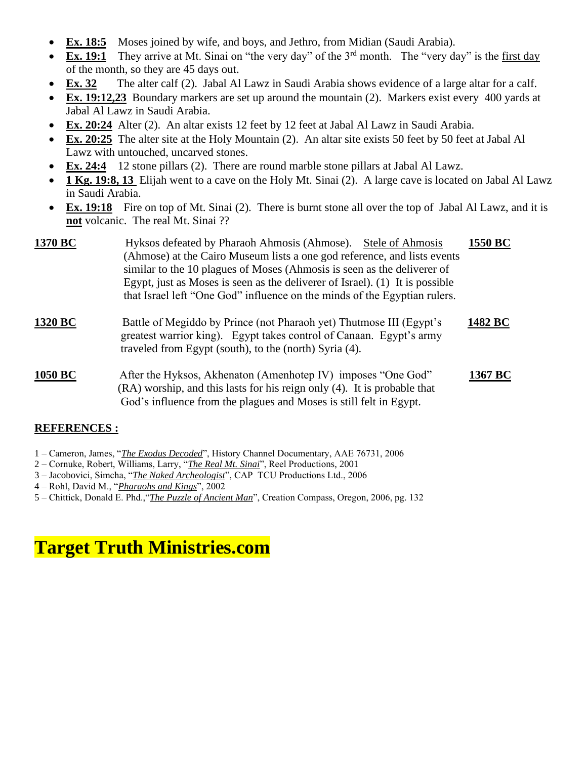- **Ex. 18:5** Moses joined by wife, and boys, and Jethro, from Midian (Saudi Arabia).
- $\overline{Ex}$ . 19:1 They arrive at Mt. Sinai on "the very day" of the 3<sup>rd</sup> month. The "very day" is the first day of the month, so they are 45 days out.
- **Ex. 32** The alter calf (2). Jabal Al Lawz in Saudi Arabia shows evidence of a large altar for a calf.
- **Ex. 19:12,23** Boundary markers are set up around the mountain (2). Markers exist every 400 yards at Jabal Al Lawz in Saudi Arabia.
- **Ex. 20:24** Alter (2). An altar exists 12 feet by 12 feet at Jabal Al Lawz in Saudi Arabia.
- **Ex. 20:25** The alter site at the Holy Mountain (2). An altar site exists 50 feet by 50 feet at Jabal Al Lawz with untouched, uncarved stones.
- **Ex. 24:4** 12 stone pillars (2). There are round marble stone pillars at Jabal Al Lawz.
- **1 Kg. 19:8, 13** Elijah went to a cave on the Holy Mt. Sinai (2). A large cave is located on Jabal Al Lawz in Saudi Arabia.
- **Ex. 19:18** Fire on top of Mt. Sinai (2). There is burnt stone all over the top of Jabal Al Lawz, and it is **not** volcanic. The real Mt. Sinai ??

| 1370 BC        | Hyksos defeated by Pharaoh Ahmosis (Ahmose). Stele of Ahmosis<br>(Ahmose) at the Cairo Museum lists a one god reference, and lists events<br>similar to the 10 plagues of Moses (Ahmosis is seen as the deliverer of<br>Egypt, just as Moses is seen as the deliverer of Israel). $(1)$ It is possible<br>that Israel left "One God" influence on the minds of the Egyptian rulers. | 1550 BC |
|----------------|-------------------------------------------------------------------------------------------------------------------------------------------------------------------------------------------------------------------------------------------------------------------------------------------------------------------------------------------------------------------------------------|---------|
| <b>1320 BC</b> | Battle of Megiddo by Prince (not Pharaoh yet) Thutmose III (Egypt's<br>greatest warrior king). Egypt takes control of Canaan. Egypt's army<br>traveled from Egypt (south), to the (north) Syria (4).                                                                                                                                                                                |         |
| 1050 BC        | After the Hyksos, Akhenaton (Amenhotep IV) imposes "One God"<br>(RA) worship, and this lasts for his reign only (4). It is probable that<br>God's influence from the plagues and Moses is still felt in Egypt.                                                                                                                                                                      | 1367 BC |

## **REFERENCES :**

- 1 Cameron, James, "*The Exodus Decoded*", History Channel Documentary, AAE 76731, 2006
- 2 Cornuke, Robert, Williams, Larry, "*The Real Mt. Sinai*", Reel Productions, 2001
- 3 Jacobovici, Simcha, "*The Naked Archeologist*", CAP TCU Productions Ltd., 2006

4 – Rohl, David M., "*Pharaohs and Kings*", 2002

5 – Chittick, Donald E. Phd.,"*The Puzzle of Ancient Man*", Creation Compass, Oregon, 2006, pg. 132

## **Target Truth Ministries.com**